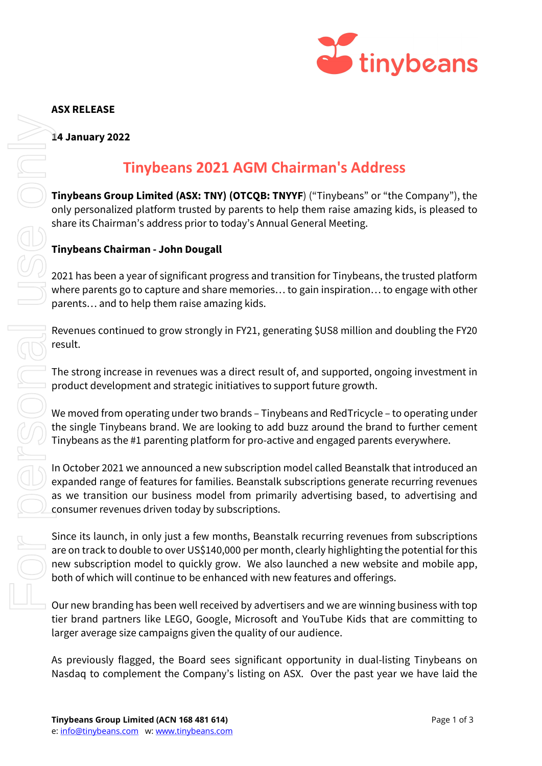

### ASX RELEASE

14 January 2022

# Tinybeans 2021 AGM Chairman's Address

Tinybeans Group Limited (ASX: TNY) (OTCQB: TNYYF) ("Tinybeans" or "the Company"), the only personalized platform trusted by parents to help them raise amazing kids, is pleased to share its Chairman's address prior to today's Annual General Meeting.

## Tinybeans Chairman - John Dougall

2021 has been a year of significant progress and transition for Tinybeans, the trusted platform where parents go to capture and share memories… to gain inspiration… to engage with other parents… and to help them raise amazing kids.

Revenues continued to grow strongly in FY21, generating \$US8 million and doubling the FY20 result.

The strong increase in revenues was a direct result of, and supported, ongoing investment in product development and strategic initiatives to support future growth.

We moved from operating under two brands – Tinybeans and RedTricycle – to operating under the single Tinybeans brand. We are looking to add buzz around the brand to further cement Tinybeans as the #1 parenting platform for pro-active and engaged parents everywhere.

In October 2021 we announced a new subscription model called Beanstalk that introduced an expanded range of features for families. Beanstalk subscriptions generate recurring revenues as we transition our business model from primarily advertising based, to advertising and consumer revenues driven today by subscriptions. This plane of the Company standard (SAC THE BOT COMPATE THE COMPATE THE COMPATE THE COMPATE THE COMPATE THAND IN THE COMPATE THE COMPATE THAND INTERFERING THAND THE COMPATE THAND THAND THE COMPATE THAND THAND THAND THAND

Since its launch, in only just a few months, Beanstalk recurring revenues from subscriptions are on track to double to over US\$140,000 per month, clearly highlighting the potential for this new subscription model to quickly grow. We also launched a new website and mobile app, both of which will continue to be enhanced with new features and offerings.

Our new branding has been well received by advertisers and we are winning business with top tier brand partners like LEGO, Google, Microsoft and YouTube Kids that are committing to larger average size campaigns given the quality of our audience.

As previously flagged, the Board sees significant opportunity in dual-listing Tinybeans on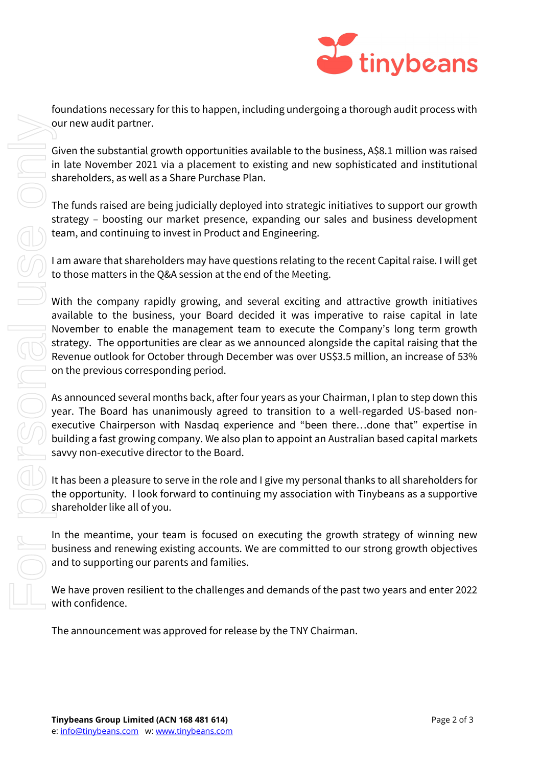

our new audit partner.<br>
Given the substantial growth opportunities available to the busines<br>
in late November 2021 via a placement to existing and new sophilar shareholders, as well as a Share Purchase Plan.<br>
The funds rai

foundations necessary for this to happen, including undergoing a thorough audit process with our new audit partner.

Given the substantial growth opportunities available to the business, A\$8.1 million was raised in late November 2021 via a placement to existing and new sophisticated and institutional shareholders, as well as a Share Purchase Plan.

The funds raised are being judicially deployed into strategic initiatives to support our growth strategy – boosting our market presence, expanding our sales and business development team, and continuing to invest in Product and Engineering.

I am aware that shareholders may have questions relating to the recent Capital raise. I will get to those matters in the Q&A session at the end of the Meeting.

With the company rapidly growing, and several exciting and attractive growth initiatives available to the business, your Board decided it was imperative to raise capital in late November to enable the management team to execute the Company's long term growth strategy. The opportunities are clear as we announced alongside the capital raising that the Revenue outlook for October through December was over US\$3.5 million, an increase of 53% on the previous corresponding period.

As announced several months back, after four years as your Chairman, I plan to step down this year. The Board has unanimously agreed to transition to a well-regarded US-based nonexecutive Chairperson with Nasdaq experience and "been there…done that" expertise in building a fast growing company. We also plan to appoint an Australian based capital markets savvy non-executive director to the Board.

It has been a pleasure to serve in the role and I give my personal thanks to all shareholders for the opportunity. I look forward to continuing my association with Tinybeans as a supportive shareholder like all of you.

In the meantime, your team is focused on executing the growth strategy of winning new business and renewing existing accounts. We are committed to our strong growth objectives and to supporting our parents and families.

We have proven resilient to the challenges and demands of the past two years and enter 2022 with confidence.